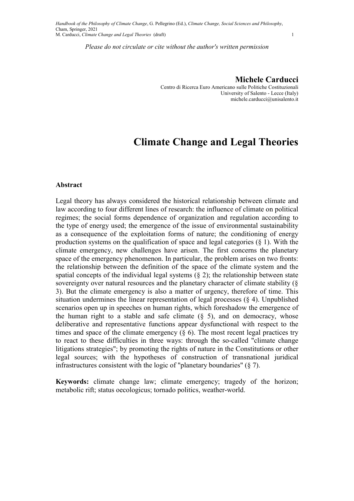Centro di Ricerca Euro Americano sulle Politiche Costituzionali University of Salento - Lecce (Italy) michele.carducci@unisalento.it

# Climate Change and Legal Theories

#### Abstract

Legal theory has always considered the historical relationship between climate and law according to four different lines of research: the influence of climate on political regimes; the social forms dependence of organization and regulation according to the type of energy used; the emergence of the issue of environmental sustainability as a consequence of the exploitation forms of nature; the conditioning of energy production systems on the qualification of space and legal categories  $(\S 1)$ . With the climate emergency, new challenges have arisen. The first concerns the planetary space of the emergency phenomenon. In particular, the problem arises on two fronts: the relationship between the definition of the space of the climate system and the spatial concepts of the individual legal systems  $(\S 2)$ ; the relationship between state sovereignty over natural resources and the planetary character of climate stability (§ 3). But the climate emergency is also a matter of urgency, therefore of time. This situation undermines the linear representation of legal processes (§ 4). Unpublished scenarios open up in speeches on human rights, which foreshadow the emergence of the human right to a stable and safe climate  $(\S$  5), and on democracy, whose deliberative and representative functions appear dysfunctional with respect to the times and space of the climate emergency  $(\S$  6). The most recent legal practices try to react to these difficulties in three ways: through the so-called "climate change litigations strategies"; by promoting the rights of nature in the Constitutions or other legal sources; with the hypotheses of construction of transnational juridical infrastructures consistent with the logic of "planetary boundaries" (§ 7).

Keywords: climate change law; climate emergency; tragedy of the horizon; metabolic rift; status oecologicus; tornado politics, weather-world.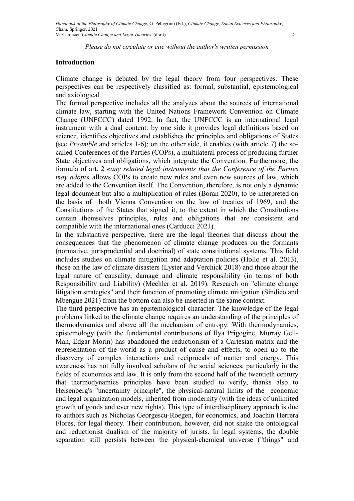# Introduction

Climate change is debated by the legal theory from four perspectives. These perspectives can be respectively classified as: formal, substantial, epistemological and axiological.

The formal perspective includes all the analyzes about the sources of international climate law, starting with the United Nations Framework Convention on Climate Change (UNFCCC) dated 1992. In fact, the UNFCCC is an international legal instrument with a dual content: by one side it provides legal definitions based on science, identifies objectives and establishes the principles and obligations of States (see Preamble and articles 1-6); on the other side, it enables (with article 7) the socalled Conferences of the Parties (COPs), a multilateral process of producing further State objectives and obligations, which integrate the Convention. Furthermore, the formula of art. 2 «any related legal instruments that the Conference of the Parties may adopt» allows COPs to create new rules and even new sources of law, which are added to the Convention itself. The Convention, therefore, is not only a dynamic legal document but also a multiplication of rules (Boran 2020), to be interpreted on the basis of both Vienna Convention on the law of treaties of 1969, and the Constitutions of the States that signed it, to the extent in which the Constitutions contain themselves principles, rules and obligations that are consistent and compatible with the international ones (Carducci 2021).

In the substantive perspective, there are the legal theories that discuss about the consequences that the phenomenon of climate change produces on the formants (normative, jurisprudential and doctrinal) of state constitutional systems. This field includes studies on climate mitigation and adaptation policies (Hollo et al. 2013), those on the law of climate disasters (Lyster and Verchick 2018) and those about the legal nature of causality, damage and climate responsibility (in terms of both Responsibility and Liability) (Mechler et al. 2019). Research on "climate change litigation strategies" and their function of promoting climate mitigation (Sindico and Mbengue 2021) from the bottom can also be inserted in the same context.

The third perspective has an epistemological character. The knowledge of the legal problems linked to the climate change requires an understanding of the principles of thermodynamics and above all the mechanism of entropy. With thermodynamics, epistemology (with the fundamental contributions of Ilya Prigogine, Murray Gell-Man, Edgar Morin) has abandoned the reductionism of a Cartesian matrix and the representation of the world as a product of cause and effects, to open up to the discovery of complex interactions and reciprocals of matter and energy. This awareness has not fully involved scholars of the social sciences, particularly in the fields of economics and law. It is only from the second half of the twentieth century that thermodynamics principles have been studied to verify, thanks also to Heisenberg's "uncertainty principle", the physical-natural limits of the economic and legal organization models, inherited from modernity (with the ideas of unlimited growth of goods and ever new rights). This type of interdisciplinary approach is due to authors such as Nicholas Georgescu-Roegen, for economics, and Joachin Herrera Flores, for legal theory. Their contribution, however, did not shake the ontological and reductionist dualism of the majority of jurists. In legal systems, the double separation still persists between the physical-chemical universe ("things" and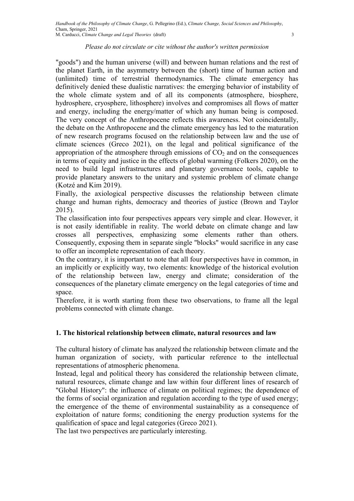"goods") and the human universe (will) and between human relations and the rest of the planet Earth, in the asymmetry between the (short) time of human action and (unlimited) time of terrestrial thermodynamics. The climate emergency has definitively denied these dualistic narratives: the emerging behavior of instability of the whole climate system and of all its components (atmosphere, biosphere, hydrosphere, cryosphere, lithosphere) involves and compromises all flows of matter and energy, including the energy/matter of which any human being is composed. The very concept of the Anthropocene reflects this awareness. Not coincidentally, the debate on the Anthropocene and the climate emergency has led to the maturation of new research programs focused on the relationship between law and the use of climate sciences (Greco 2021), on the legal and political significance of the appropriation of the atmosphere through emissions of  $CO<sub>2</sub>$  and on the consequences in terms of equity and justice in the effects of global warming (Folkers 2020), on the need to build legal infrastructures and planetary governance tools, capable to provide planetary answers to the unitary and systemic problem of climate change (Kotzé and Kim 2019).

Finally, the axiological perspective discusses the relationship between climate change and human rights, democracy and theories of justice (Brown and Taylor 2015).

The classification into four perspectives appears very simple and clear. However, it is not easily identifiable in reality. The world debate on climate change and law crosses all perspectives, emphasizing some elements rather than others. Consequently, exposing them in separate single "blocks" would sacrifice in any case to offer an incomplete representation of each theory.

On the contrary, it is important to note that all four perspectives have in common, in an implicitly or explicitly way, two elements: knowledge of the historical evolution of the relationship between law, energy and climate; consideration of the consequences of the planetary climate emergency on the legal categories of time and space.

Therefore, it is worth starting from these two observations, to frame all the legal problems connected with climate change.

# 1. The historical relationship between climate, natural resources and law

The cultural history of climate has analyzed the relationship between climate and the human organization of society, with particular reference to the intellectual representations of atmospheric phenomena.

Instead, legal and political theory has considered the relationship between climate, natural resources, climate change and law within four different lines of research of "Global History": the influence of climate on political regimes; the dependence of the forms of social organization and regulation according to the type of used energy; the emergence of the theme of environmental sustainability as a consequence of exploitation of nature forms; conditioning the energy production systems for the qualification of space and legal categories (Greco 2021).

The last two perspectives are particularly interesting.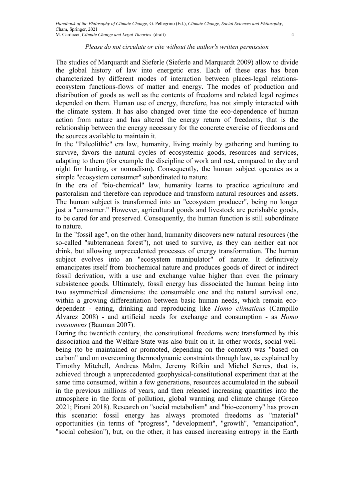The studies of Marquardt and Sieferle (Sieferle and Marquardt 2009) allow to divide the global history of law into energetic eras. Each of these eras has been characterized by different modes of interaction between places-legal relationsecosystem functions-flows of matter and energy. The modes of production and distribution of goods as well as the contents of freedoms and related legal regimes depended on them. Human use of energy, therefore, has not simply interacted with the climate system. It has also changed over time the eco-dependence of human action from nature and has altered the energy return of freedoms, that is the relationship between the energy necessary for the concrete exercise of freedoms and the sources available to maintain it.

In the "Paleolithic" era law, humanity, living mainly by gathering and hunting to survive, favors the natural cycles of ecosystemic goods, resources and services, adapting to them (for example the discipline of work and rest, compared to day and night for hunting, or nomadism). Consequently, the human subject operates as a simple "ecosystem consumer" subordinated to nature.

In the era of "bio-chemical" law, humanity learns to practice agriculture and pastoralism and therefore can reproduce and transform natural resources and assets. The human subject is transformed into an "ecosystem producer", being no longer just a "consumer." However, agricultural goods and livestock are perishable goods, to be cared for and preserved. Consequently, the human function is still subordinate to nature.

In the "fossil age", on the other hand, humanity discovers new natural resources (the so-called "subterranean forest"), not used to survive, as they can neither eat nor drink, but allowing unprecedented processes of energy transformation. The human subject evolves into an "ecosystem manipulator" of nature. It definitively emancipates itself from biochemical nature and produces goods of direct or indirect fossil derivation, with a use and exchange value higher than even the primary subsistence goods. Ultimately, fossil energy has dissociated the human being into two asymmetrical dimensions: the consumable one and the natural survival one, within a growing differentiation between basic human needs, which remain ecodependent - eating, drinking and reproducing like Homo climaticus (Campillo Álvarez 2008) - and artificial needs for exchange and consumption - as Homo consumens (Bauman 2007).

During the twentieth century, the constitutional freedoms were transformed by this dissociation and the Welfare State was also built on it. In other words, social wellbeing (to be maintained or promoted, depending on the context) was "based on carbon" and on overcoming thermodynamic constraints through law, as explained by Timothy Mitchell, Andreas Malm, Jeremy Rifkin and Michel Serres, that is, achieved through a unprecedented geophysical-constitutional experiment that at the same time consumed, within a few generations, resources accumulated in the subsoil in the previous millions of years, and then released increasing quantities into the atmosphere in the form of pollution, global warming and climate change (Greco 2021; Pirani 2018). Research on "social metabolism" and "bio-economy" has proven this scenario: fossil energy has always promoted freedoms as "material" opportunities (in terms of "progress", "development", "growth", "emancipation", "social cohesion"), but, on the other, it has caused increasing entropy in the Earth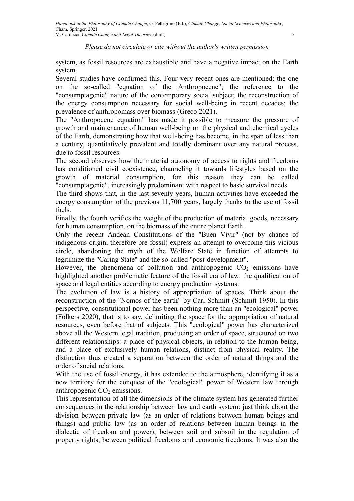system, as fossil resources are exhaustible and have a negative impact on the Earth system.

Several studies have confirmed this. Four very recent ones are mentioned: the one on the so-called "equation of the Anthropocene"; the reference to the "consumptagenic" nature of the contemporary social subject; the reconstruction of the energy consumption necessary for social well-being in recent decades; the prevalence of anthropomass over biomass (Greco 2021).

The "Anthropocene equation" has made it possible to measure the pressure of growth and maintenance of human well-being on the physical and chemical cycles of the Earth, demonstrating how that well-being has become, in the span of less than a century, quantitatively prevalent and totally dominant over any natural process, due to fossil resources.

The second observes how the material autonomy of access to rights and freedoms has conditioned civil coexistence, channeling it towards lifestyles based on the growth of material consumption, for this reason they can be called "consumptagenic", increasingly predominant with respect to basic survival needs.

The third shows that, in the last seventy years, human activities have exceeded the energy consumption of the previous 11,700 years, largely thanks to the use of fossil fuels.

Finally, the fourth verifies the weight of the production of material goods, necessary for human consumption, on the biomass of the entire planet Earth.

Only the recent Andean Constitutions of the "Buen Vivir" (not by chance of indigenous origin, therefore pre-fossil) express an attempt to overcome this vicious circle, abandoning the myth of the Welfare State in function of attempts to legitimize the "Caring State" and the so-called "post-development".

However, the phenomena of pollution and anthropogenic  $CO<sub>2</sub>$  emissions have highlighted another problematic feature of the fossil era of law: the qualification of space and legal entities according to energy production systems.

The evolution of law is a history of appropriation of spaces. Think about the reconstruction of the "Nomos of the earth" by Carl Schmitt (Schmitt 1950). In this perspective, constitutional power has been nothing more than an "ecological" power (Folkers 2020), that is to say, delimiting the space for the appropriation of natural resources, even before that of subjects. This "ecological" power has characterized above all the Western legal tradition, producing an order of space, structured on two different relationships: a place of physical objects, in relation to the human being, and a place of exclusively human relations, distinct from physical reality. The distinction thus created a separation between the order of natural things and the order of social relations.

With the use of fossil energy, it has extended to the atmosphere, identifying it as a new territory for the conquest of the "ecological" power of Western law through anthropogenic  $CO<sub>2</sub>$  emissions.

This representation of all the dimensions of the climate system has generated further consequences in the relationship between law and earth system: just think about the division between private law (as an order of relations between human beings and things) and public law (as an order of relations between human beings in the dialectic of freedom and power); between soil and subsoil in the regulation of property rights; between political freedoms and economic freedoms. It was also the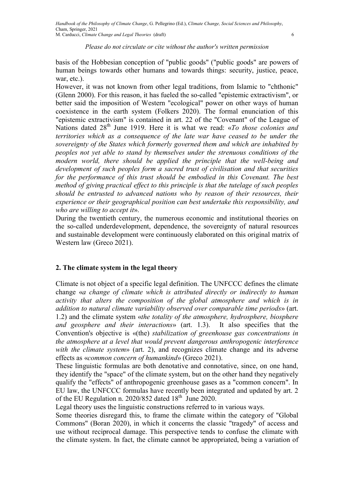basis of the Hobbesian conception of "public goods" ("public goods" are powers of human beings towards other humans and towards things: security, justice, peace, war, etc.).

However, it was not known from other legal traditions, from Islamic to "chthonic" (Glenn 2000). For this reason, it has fueled the so-called "epistemic extractivism", or better said the imposition of Western "ecological" power on other ways of human coexistence in the earth system (Folkers 2020). The formal enunciation of this "epistemic extractivism" is contained in art. 22 of the "Covenant" of the League of Nations dated  $28<sup>th</sup>$  June 1919. Here it is what we read: «To those colonies and territories which as a consequence of the late war have ceased to be under the sovereignty of the States which formerly governed them and which are inhabited by peoples not yet able to stand by themselves under the strenuous conditions of the modern world, there should be applied the principle that the well-being and development of such peoples form a sacred trust of civilisation and that securities for the performance of this trust should be embodied in this Covenant. The best method of giving practical effect to this principle is that the tutelage of such peoples should be entrusted to advanced nations who by reason of their resources, their experience or their geographical position can best undertake this responsibility, and who are willing to accept it».

During the twentieth century, the numerous economic and institutional theories on the so-called underdevelopment, dependence, the sovereignty of natural resources and sustainable development were continuously elaborated on this original matrix of Western law (Greco 2021).

# 2. The climate system in the legal theory

Climate is not object of a specific legal definition. The UNFCCC defines the climate change «a change of climate which is attributed directly or indirectly to human activity that alters the composition of the global atmosphere and which is in addition to natural climate variability observed over comparable time periods» (art. 1.2) and the climate system «the totality of the atmosphere, hydrosphere, biosphere and geosphere and their interactions» (art. 1.3). It also specifies that the Convention's objective is «(the) stabilization of greenhouse gas concentrations in the atmosphere at a level that would prevent dangerous anthropogenic interference with the climate system» (art. 2), and recognizes climate change and its adverse effects as «common concern of humankind» (Greco 2021).

These linguistic formulas are both denotative and connotative, since, on one hand, they identify the "space" of the climate system, but on the other hand they negatively qualify the "effects" of anthropogenic greenhouse gases as a "common concern". In EU law, the UNFCCC formulas have recently been integrated and updated by art. 2 of the EU Regulation n. 2020/852 dated  $18<sup>th</sup>$  June 2020.

Legal theory uses the linguistic constructions referred to in various ways.

Some theories disregard this, to frame the climate within the category of "Global Commons" (Boran 2020), in which it concerns the classic "tragedy" of access and use without reciprocal damage. This perspective tends to confuse the climate with the climate system. In fact, the climate cannot be appropriated, being a variation of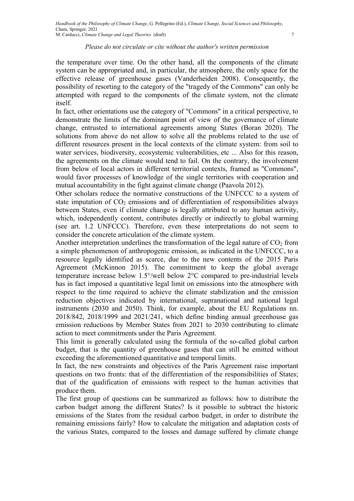the temperature over time. On the other hand, all the components of the climate system can be appropriated and, in particular, the atmosphere, the only space for the effective release of greenhouse gases (Vanderheiden 2008). Consequently, the possibility of resorting to the category of the "tragedy of the Commons" can only be attempted with regard to the components of the climate system, not the climate itself.

In fact, other orientations use the category of "Commons" in a critical perspective, to demonstrate the limits of the dominant point of view of the governance of climate change, entrusted to international agreements among States (Boran 2020). The solutions from above do not allow to solve all the problems related to the use of different resources present in the local contexts of the climate system: from soil to water services, biodiversity, ecosystemic vulnerabilities, etc ... Also for this reason, the agreements on the climate would tend to fail. On the contrary, the involvement from below of local actors in different territorial contexts, framed as "Commons", would favor processes of knowledge of the single territories with cooperation and mutual accountability in the fight against climate change (Paavola 2012).

Other scholars reduce the normative constructions of the UNFCCC to a system of state imputation of  $CO<sub>2</sub>$  emissions and of differentiation of responsibilities always between States, even if climate change is legally attributed to any human activity, which, independently content, contributes directly or indirectly to global warming (see art. 1.2 UNFCCC). Therefore, even these interpretations do not seem to consider the concrete articulation of the climate system.

Another interpretation underlines the transformation of the legal nature of  $CO<sub>2</sub>$  from a simple phenomenon of anthropogenic emission, as indicated in the UNFCCC, to a resource legally identified as scarce, due to the new contents of the 2015 Paris Agreement (McKinnon 2015). The commitment to keep the global average temperature increase below 1.5°/well below 2°C compared to pre-industrial levels has in fact imposed a quantitative legal limit on emissions into the atmosphere with respect to the time required to achieve the climate stabilization and the emission reduction objectives indicated by international, supranational and national legal instruments (2030 and 2050). Think, for example, about the EU Regulations nn. 2018/842, 2018/1999 and 2021/241, which define binding annual greenhouse gas emission reductions by Member States from 2021 to 2030 contributing to climate action to meet commitments under the Paris Agreement.

This limit is generally calculated using the formula of the so-called global carbon budget, that is the quantity of greenhouse gases that can still be emitted without exceeding the aforementioned quantitative and temporal limits.

In fact, the new constraints and objectives of the Paris Agreement raise important questions on two fronts: that of the differentiation of the responsibilities of States; that of the qualification of emissions with respect to the human activities that produce them.

The first group of questions can be summarized as follows: how to distribute the carbon budget among the different States? Is it possible to subtract the historic emissions of the States from the residual carbon budget, in order to distribute the remaining emissions fairly? How to calculate the mitigation and adaptation costs of the various States, compared to the losses and damage suffered by climate change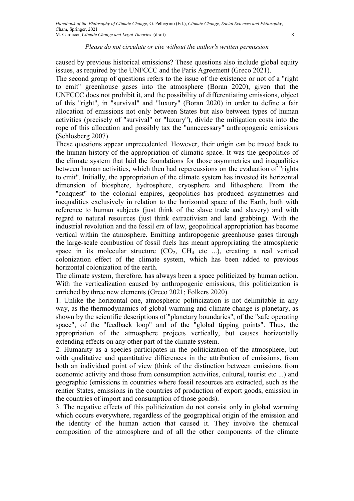caused by previous historical emissions? These questions also include global equity issues, as required by the UNFCCC and the Paris Agreement (Greco 2021).

The second group of questions refers to the issue of the existence or not of a "right to emit" greenhouse gases into the atmosphere (Boran 2020), given that the UNFCCC does not prohibit it, and the possibility of differentiating emissions, object of this "right", in "survival" and "luxury" (Boran 2020) in order to define a fair allocation of emissions not only between States but also between types of human activities (precisely of "survival" or "luxury"), divide the mitigation costs into the rope of this allocation and possibly tax the "unnecessary" anthropogenic emissions (Schlosberg 2007).

These questions appear unprecedented. However, their origin can be traced back to the human history of the appropriation of climatic space. It was the geopolitics of the climate system that laid the foundations for those asymmetries and inequalities between human activities, which then had repercussions on the evaluation of "rights to emit". Initially, the appropriation of the climate system has invested its horizontal dimension of biosphere, hydrosphere, cryosphere and lithosphere. From the "conquest" to the colonial empires, geopolitics has produced asymmetries and inequalities exclusively in relation to the horizontal space of the Earth, both with reference to human subjects (just think of the slave trade and slavery) and with regard to natural resources (just think extractivism and land grabbing). With the industrial revolution and the fossil era of law, geopolitical appropriation has become vertical within the atmosphere. Emitting anthropogenic greenhouse gases through the large-scale combustion of fossil fuels has meant appropriating the atmospheric space in its molecular structure  $(CO_2, CH_4$  etc ...), creating a real vertical colonization effect of the climate system, which has been added to previous horizontal colonization of the earth.

The climate system, therefore, has always been a space politicized by human action. With the verticalization caused by anthropogenic emissions, this politicization is enriched by three new elements (Greco 2021; Folkers 2020).

1. Unlike the horizontal one, atmospheric politicization is not delimitable in any way, as the thermodynamics of global warming and climate change is planetary, as shown by the scientific descriptions of "planetary boundaries", of the "safe operating space", of the "feedback loop" and of the "global tipping points". Thus, the appropriation of the atmosphere projects vertically, but causes horizontally extending effects on any other part of the climate system.

2. Humanity as a species participates in the politicization of the atmosphere, but with qualitative and quantitative differences in the attribution of emissions, from both an individual point of view (think of the distinction between emissions from economic activity and those from consumption activities, cultural, tourist etc ...) and geographic (emissions in countries where fossil resources are extracted, such as the rentier States, emissions in the countries of production of export goods, emission in the countries of import and consumption of those goods).

3. The negative effects of this politicization do not consist only in global warming which occurs everywhere, regardless of the geographical origin of the emission and the identity of the human action that caused it. They involve the chemical composition of the atmosphere and of all the other components of the climate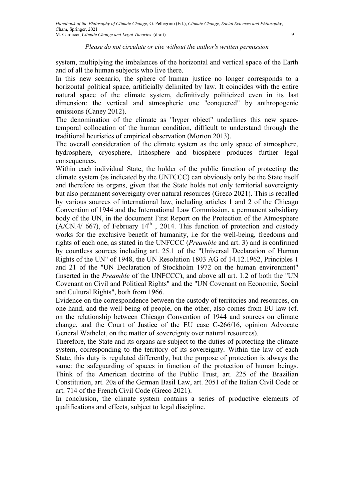system, multiplying the imbalances of the horizontal and vertical space of the Earth and of all the human subjects who live there.

In this new scenario, the sphere of human justice no longer corresponds to a horizontal political space, artificially delimited by law. It coincides with the entire natural space of the climate system, definitively politicized even in its last dimension: the vertical and atmospheric one "conquered" by anthropogenic emissions (Caney 2012).

The denomination of the climate as "hyper object" underlines this new spacetemporal collocation of the human condition, difficult to understand through the traditional heuristics of empirical observation (Morton 2013).

The overall consideration of the climate system as the only space of atmosphere, hydrosphere, cryosphere, lithosphere and biosphere produces further legal consequences.

Within each individual State, the holder of the public function of protecting the climate system (as indicated by the UNFCCC) can obviously only be the State itself and therefore its organs, given that the State holds not only territorial sovereignty but also permanent sovereignty over natural resources (Greco 2021). This is recalled by various sources of international law, including articles 1 and 2 of the Chicago Convention of 1944 and the International Law Commission, a permanent subsidiary body of the UN, in the document First Report on the Protection of the Atmosphere  $(A/CN.4/667)$ , of February 14<sup>th</sup>, 2014. This function of protection and custody works for the exclusive benefit of humanity, i.e for the well-being, freedoms and rights of each one, as stated in the UNFCCC (Preamble and art. 3) and is confirmed by countless sources including art. 25.1 of the "Universal Declaration of Human Rights of the UN" of 1948, the UN Resolution 1803 AG of 14.12.1962, Principles 1 and 21 of the "UN Declaration of Stockholm 1972 on the human environment" (inserted in the Preamble of the UNFCCC), and above all art. 1.2 of both the "UN Covenant on Civil and Political Rights" and the "UN Covenant on Economic, Social and Cultural Rights", both from 1966.

Evidence on the correspondence between the custody of territories and resources, on one hand, and the well-being of people, on the other, also comes from EU law (cf. on the relationship between Chicago Convention of 1944 and sources on climate change, and the Court of Justice of the EU case C-266/16, opinion Advocate General Wathelet, on the matter of sovereignty over natural resources).

Therefore, the State and its organs are subject to the duties of protecting the climate system, corresponding to the territory of its sovereignty. Within the law of each State, this duty is regulated differently, but the purpose of protection is always the same: the safeguarding of spaces in function of the protection of human beings. Think of the American doctrine of the Public Trust, art. 225 of the Brazilian Constitution, art. 20a of the German Basil Law, art. 2051 of the Italian Civil Code or art. 714 of the French Civil Code (Greco 2021).

In conclusion, the climate system contains a series of productive elements of qualifications and effects, subject to legal discipline.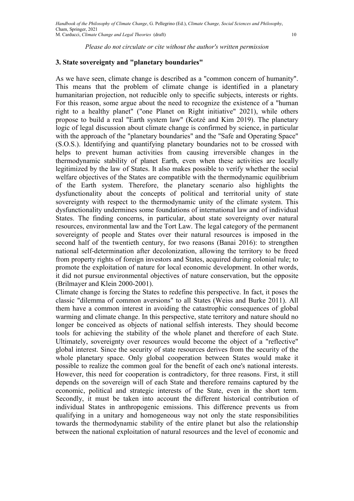#### 3. State sovereignty and "planetary boundaries"

As we have seen, climate change is described as a "common concern of humanity". This means that the problem of climate change is identified in a planetary humanitarian projection, not reducible only to specific subjects, interests or rights. For this reason, some argue about the need to recognize the existence of a "human right to a healthy planet" ("one Planet on Right initiative" 2021), while others propose to build a real "Earth system law" (Kotzé and Kim 2019). The planetary logic of legal discussion about climate change is confirmed by science, in particular with the approach of the "planetary boundaries" and the "Safe and Operating Space" (S.O.S.). Identifying and quantifying planetary boundaries not to be crossed with helps to prevent human activities from causing irreversible changes in the thermodynamic stability of planet Earth, even when these activities are locally legitimized by the law of States. It also makes possible to verify whether the social welfare objectives of the States are compatible with the thermodynamic equilibrium of the Earth system. Therefore, the planetary scenario also highlights the dysfunctionality about the concepts of political and territorial unity of state sovereignty with respect to the thermodynamic unity of the climate system. This dysfunctionality undermines some foundations of international law and of individual States. The finding concerns, in particular, about state sovereignty over natural resources, environmental law and the Tort Law. The legal category of the permanent sovereignty of people and States over their natural resources is imposed in the second half of the twentieth century, for two reasons (Banai 2016): to strengthen national self-determination after decolonization, allowing the territory to be freed from property rights of foreign investors and States, acquired during colonial rule; to promote the exploitation of nature for local economic development. In other words, it did not pursue environmental objectives of nature conservation, but the opposite (Brilmayer and Klein 2000-2001).

Climate change is forcing the States to redefine this perspective. In fact, it poses the classic "dilemma of common aversions" to all States (Weiss and Burke 2011). All them have a common interest in avoiding the catastrophic consequences of global warming and climate change. In this perspective, state territory and nature should no longer be conceived as objects of national selfish interests. They should become tools for achieving the stability of the whole planet and therefore of each State. Ultimately, sovereignty over resources would become the object of a "reflective" global interest. Since the security of state resources derives from the security of the whole planetary space. Only global cooperation between States would make it possible to realize the common goal for the benefit of each one's national interests. However, this need for cooperation is contradictory, for three reasons. First, it still depends on the sovereign will of each State and therefore remains captured by the economic, political and strategic interests of the State, even in the short term. Secondly, it must be taken into account the different historical contribution of individual States in anthropogenic emissions. This difference prevents us from qualifying in a unitary and homogeneous way not only the state responsibilities towards the thermodynamic stability of the entire planet but also the relationship between the national exploitation of natural resources and the level of economic and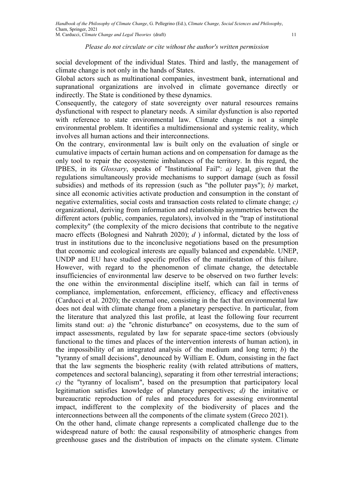social development of the individual States. Third and lastly, the management of climate change is not only in the hands of States.

Global actors such as multinational companies, investment bank, international and supranational organizations are involved in climate governance directly or indirectly. The State is conditioned by these dynamics.

Consequently, the category of state sovereignty over natural resources remains dysfunctional with respect to planetary needs. A similar dysfunction is also reported with reference to state environmental law. Climate change is not a simple environmental problem. It identifies a multidimensional and systemic reality, which involves all human actions and their interconnections.

On the contrary, environmental law is built only on the evaluation of single or cumulative impacts of certain human actions and on compensation for damage as the only tool to repair the ecosystemic imbalances of the territory. In this regard, the IPBES, in its Glossary, speaks of "Institutional Fail":  $a$ ) legal, given that the regulations simultaneously provide mechanisms to support damage (such as fossil subsidies) and methods of its repression (such as "the polluter pays"); *b*) market, since all economic activities activate production and consumption in the constant of negative externalities, social costs and transaction costs related to climate change;  $c$ ) organizational, deriving from information and relationship asymmetries between the different actors (public, companies, regulators), involved in the "trap of institutional complexity" (the complexity of the micro decisions that contribute to the negative macro effects (Bolognesi and Nahrath 2020);  $d$  ) informal, dictated by the loss of trust in institutions due to the inconclusive negotiations based on the presumption that economic and ecological interests are equally balanced and expendable. UNEP, UNDP and EU have studied specific profiles of the manifestation of this failure. However, with regard to the phenomenon of climate change, the detectable insufficiencies of environmental law deserve to be observed on two further levels: the one within the environmental discipline itself, which can fail in terms of compliance, implementation, enforcement, efficiency, efficacy and effectiveness (Carducci et al. 2020); the external one, consisting in the fact that environmental law does not deal with climate change from a planetary perspective. In particular, from the literature that analyzed this last profile, at least the following four recurrent limits stand out: *a*) the "chronic disturbance" on ecosystems, due to the sum of impact assessments, regulated by law for separate space-time sectors (obviously functional to the times and places of the intervention interests of human action), in the impossibility of an integrated analysis of the medium and long term; b) the "tyranny of small decisions", denounced by William E. Odum, consisting in the fact that the law segments the biospheric reality (with related attributions of matters, competences and sectoral balancing), separating it from other terrestrial interactions; c) the "tyranny of localism", based on the presumption that participatory local legitimation satisfies knowledge of planetary perspectives; d) the imitative or bureaucratic reproduction of rules and procedures for assessing environmental impact, indifferent to the complexity of the biodiversity of places and the interconnections between all the components of the climate system (Greco 2021). On the other hand, climate change represents a complicated challenge due to the widespread nature of both: the causal responsibility of atmospheric changes from greenhouse gases and the distribution of impacts on the climate system. Climate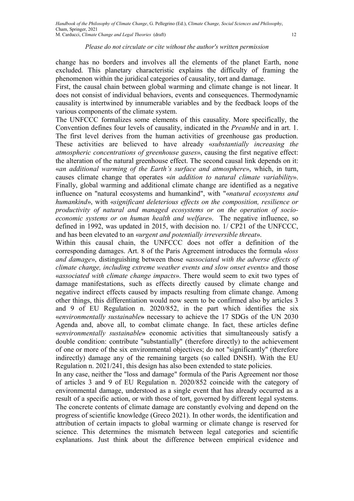change has no borders and involves all the elements of the planet Earth, none excluded. This planetary characteristic explains the difficulty of framing the phenomenon within the juridical categories of causality, tort and damage.

First, the causal chain between global warming and climate change is not linear. It does not consist of individual behaviors, events and consequences. Thermodynamic causality is intertwined by innumerable variables and by the feedback loops of the various components of the climate system.

The UNFCCC formalizes some elements of this causality. More specifically, the Convention defines four levels of causality, indicated in the Preamble and in art. 1. The first level derives from the human activities of greenhouse gas production. These activities are believed to have already «substantially increasing the atmospheric concentrations of greenhouse gases», causing the first negative effect: the alteration of the natural greenhouse effect. The second causal link depends on it: «an additional warming of the Earth's surface and atmosphere», which, in turn, causes climate change that operates «in addition to natural climate variability». Finally, global warming and additional climate change are identified as a negative influence on "natural ecosystems and humankind", with "«natural ecosystems and humankind», with «significant deleterious effects on the composition, resilience or productivity of natural and managed ecosystems or on the operation of socioeconomic systems or on human health and welfare». The negative influence, so defined in 1992, was updated in 2015, with decision no. 1/ CP21 of the UNFCCC, and has been elevated to an «urgent and potentially irreversible threat».

Within this causal chain, the UNFCCC does not offer a definition of the corresponding damages. Art. 8 of the Paris Agreement introduces the formula «loss and damage», distinguishing between those «associated with the adverse effects of climate change, including extreme weather events and slow onset events» and those «associated with climate change impacts». There would seem to exit two types of damage manifestations, such as effects directly caused by climate change and negative indirect effects caused by impacts resulting from climate change. Among other things, this differentiation would now seem to be confirmed also by articles 3 and 9 of EU Regulation n. 2020/852, in the part which identifies the six «environmentally sustainable» necessary to achieve the 17 SDGs of the UN 2030 Agenda and, above all, to combat climate change. In fact, these articles define «environmentally sustainable» economic activities that simultaneously satisfy a double condition: contribute "substantially" (therefore directly) to the achievement of one or more of the six environmental objectives; do not "significantly" (therefore indirectly) damage any of the remaining targets (so called DNSH). With the EU Regulation n. 2021/241, this design has also been extended to state policies.

In any case, neither the "loss and damage" formula of the Paris Agreement nor those of articles 3 and 9 of EU Regulation n. 2020/852 coincide with the category of environmental damage, understood as a single event that has already occurred as a result of a specific action, or with those of tort, governed by different legal systems. The concrete contents of climate damage are constantly evolving and depend on the progress of scientific knowledge (Greco 2021). In other words, the identification and attribution of certain impacts to global warming or climate change is reserved for science. This determines the mismatch between legal categories and scientific explanations. Just think about the difference between empirical evidence and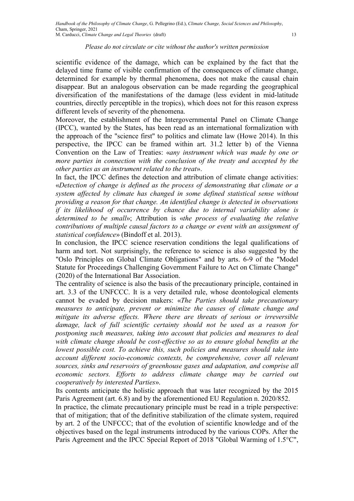scientific evidence of the damage, which can be explained by the fact that the delayed time frame of visible confirmation of the consequences of climate change, determined for example by thermal phenomena, does not make the causal chain disappear. But an analogous observation can be made regarding the geographical diversification of the manifestations of the damage (less evident in mid-latitude countries, directly perceptible in the tropics), which does not for this reason express different levels of severity of the phenomena.

Moreover, the establishment of the Intergovernmental Panel on Climate Change (IPCC), wanted by the States, has been read as an international formalization with the approach of the "science first" to politics and climate law (Howe 2014). In this perspective, the IPCC can be framed within art. 31.2 letter b) of the Vienna Convention on the Law of Treaties: «any instrument which was made by one or more parties in connection with the conclusion of the treaty and accepted by the other parties as an instrument related to the treat».

In fact, the IPCC defines the detection and attribution of climate change activities: «Detection of change is defined as the process of demonstrating that climate or a system affected by climate has changed in some defined statistical sense without providing a reason for that change. An identified change is detected in observations if its likelihood of occurrence by chance due to internal variability alone is determined to be small»; Attribution is «the process of evaluating the relative contributions of multiple causal factors to a change or event with an assignment of statistical confidence» (Bindoff et al. 2013).

In conclusion, the IPCC science reservation conditions the legal qualifications of harm and tort. Not surprisingly, the reference to science is also suggested by the "Oslo Principles on Global Climate Obligations" and by arts. 6-9 of the "Model Statute for Proceedings Challenging Government Failure to Act on Climate Change" (2020) of the International Bar Association.

The centrality of science is also the basis of the precautionary principle, contained in art. 3.3 of the UNFCCC. It is a very detailed rule, whose deontological elements cannot be evaded by decision makers: «The Parties should take precautionary measures to anticipate, prevent or minimize the causes of climate change and mitigate its adverse effects. Where there are threats of serious or irreversible damage, lack of full scientific certainty should not be used as a reason for postponing such measures, taking into account that policies and measures to deal with climate change should be cost-effective so as to ensure global benefits at the lowest possible cost. To achieve this, such policies and measures should take into account different socio-economic contexts, be comprehensive, cover all relevant sources, sinks and reservoirs of greenhouse gases and adaptation, and comprise all economic sectors. Efforts to address climate change may be carried out cooperatively by interested Parties».

Its contents anticipate the holistic approach that was later recognized by the 2015 Paris Agreement (art. 6.8) and by the aforementioned EU Regulation n. 2020/852.

In practice, the climate precautionary principle must be read in a triple perspective: that of mitigation; that of the definitive stabilization of the climate system, required by art. 2 of the UNFCCC; that of the evolution of scientific knowledge and of the objectives based on the legal instruments introduced by the various COPs. After the Paris Agreement and the IPCC Special Report of 2018 "Global Warming of 1.5°C",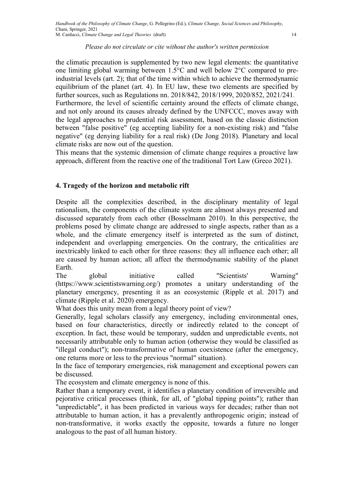the climatic precaution is supplemented by two new legal elements: the quantitative one limiting global warming between 1.5°C and well below 2°C compared to preindustrial levels (art. 2); that of the time within which to achieve the thermodynamic equilibrium of the planet (art. 4). In EU law, these two elements are specified by further sources, such as Regulations nn. 2018/842, 2018/1999, 2020/852, 2021/241. Furthermore, the level of scientific certainty around the effects of climate change, and not only around its causes already defined by the UNFCCC, moves away with the legal approaches to prudential risk assessment, based on the classic distinction between "false positive" (eg accepting liability for a non-existing risk) and "false negative" (eg denying liability for a real risk) (De Jong 2018). Planetary and local climate risks are now out of the question.

This means that the systemic dimension of climate change requires a proactive law approach, different from the reactive one of the traditional Tort Law (Greco 2021).

#### 4. Tragedy of the horizon and metabolic rift

Despite all the complexities described, in the disciplinary mentality of legal rationalism, the components of the climate system are almost always presented and discussed separately from each other (Bosselmann 2010). In this perspective, the problems posed by climate change are addressed to single aspects, rather than as a whole, and the climate emergency itself is interpreted as the sum of distinct, independent and overlapping emergencies. On the contrary, the criticalities are inextricably linked to each other for three reasons: they all influence each other; all are caused by human action; all affect the thermodynamic stability of the planet Earth.

The global initiative called "Scientists' Warning" (https://www.scientistswarning.org/) promotes a unitary understanding of the planetary emergency, presenting it as an ecosystemic (Ripple et al. 2017) and climate (Ripple et al. 2020) emergency.

What does this unity mean from a legal theory point of view?

Generally, legal scholars classify any emergency, including environmental ones, based on four characteristics, directly or indirectly related to the concept of exception. In fact, these would be temporary, sudden and unpredictable events, not necessarily attributable only to human action (otherwise they would be classified as "illegal conduct"); non-transformative of human coexistence (after the emergency, one returns more or less to the previous "normal" situation).

In the face of temporary emergencies, risk management and exceptional powers can be discussed.

The ecosystem and climate emergency is none of this.

Rather than a temporary event, it identifies a planetary condition of irreversible and pejorative critical processes (think, for all, of "global tipping points"); rather than "unpredictable", it has been predicted in various ways for decades; rather than not attributable to human action, it has a prevalently anthropogenic origin; instead of non-transformative, it works exactly the opposite, towards a future no longer analogous to the past of all human history.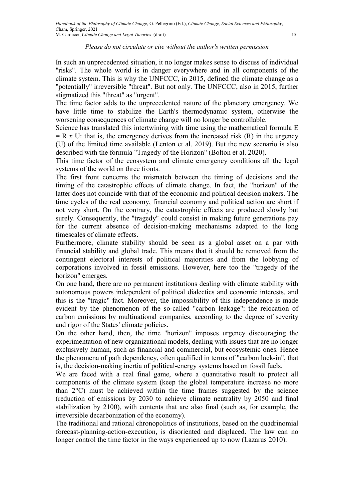In such an unprecedented situation, it no longer makes sense to discuss of individual "risks". The whole world is in danger everywhere and in all components of the climate system. This is why the UNFCCC, in 2015, defined the climate change as a "potentially" irreversible "threat". But not only. The UNFCCC, also in 2015, further stigmatized this "threat" as "urgent".

The time factor adds to the unprecedented nature of the planetary emergency. We have little time to stabilize the Earth's thermodynamic system, otherwise the worsening consequences of climate change will no longer be controllable.

Science has translated this intertwining with time using the mathematical formula E  $=$  R x U: that is, the emergency derives from the increased risk (R) in the urgency (U) of the limited time available (Lenton et al. 2019). But the new scenario is also described with the formula "Tragedy of the Horizon" (Bolton et al. 2020).

This time factor of the ecosystem and climate emergency conditions all the legal systems of the world on three fronts.

The first front concerns the mismatch between the timing of decisions and the timing of the catastrophic effects of climate change. In fact, the "horizon" of the latter does not coincide with that of the economic and political decision makers. The time cycles of the real economy, financial economy and political action are short if not very short. On the contrary, the catastrophic effects are produced slowly but surely. Consequently, the "tragedy" could consist in making future generations pay for the current absence of decision-making mechanisms adapted to the long timescales of climate effects.

Furthermore, climate stability should be seen as a global asset on a par with financial stability and global trade. This means that it should be removed from the contingent electoral interests of political majorities and from the lobbying of corporations involved in fossil emissions. However, here too the "tragedy of the horizon" emerges.

On one hand, there are no permanent institutions dealing with climate stability with autonomous powers independent of political dialectics and economic interests, and this is the "tragic" fact. Moreover, the impossibility of this independence is made evident by the phenomenon of the so-called "carbon leakage": the relocation of carbon emissions by multinational companies, according to the degree of severity and rigor of the States' climate policies.

On the other hand, then, the time "horizon" imposes urgency discouraging the experimentation of new organizational models, dealing with issues that are no longer exclusively human, such as financial and commercial, but ecosystemic ones. Hence the phenomena of path dependency, often qualified in terms of "carbon lock-in", that is, the decision-making inertia of political-energy systems based on fossil fuels.

We are faced with a real final game, where a quantitative result to protect all components of the climate system (keep the global temperature increase no more than  $2^{\circ}$ C) must be achieved within the time frames suggested by the science (reduction of emissions by 2030 to achieve climate neutrality by 2050 and final stabilization by 2100), with contents that are also final (such as, for example, the irreversible decarbonization of the economy).

The traditional and rational chronopolitics of institutions, based on the quadrinomial forecast-planning-action-execution, is disoriented and displaced. The law can no longer control the time factor in the ways experienced up to now (Lazarus 2010).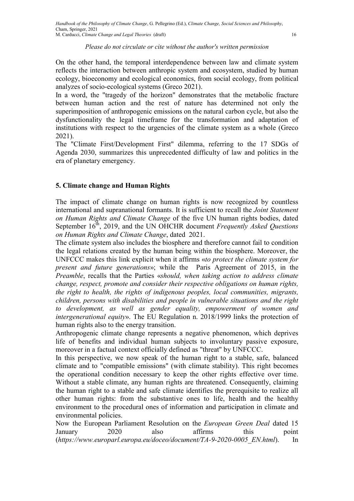On the other hand, the temporal interdependence between law and climate system reflects the interaction between anthropic system and ecosystem, studied by human ecology, bioeconomy and ecological economics, from social ecology, from political analyzes of socio-ecological systems (Greco 2021).

In a word, the "tragedy of the horizon" demonstrates that the metabolic fracture between human action and the rest of nature has determined not only the superimposition of anthropogenic emissions on the natural carbon cycle, but also the dysfunctionality the legal timeframe for the transformation and adaptation of institutions with respect to the urgencies of the climate system as a whole (Greco 2021).

The "Climate First/Development First" dilemma, referring to the 17 SDGs of Agenda 2030, summarizes this unprecedented difficulty of law and politics in the era of planetary emergency.

# 5. Climate change and Human Rights

The impact of climate change on human rights is now recognized by countless international and supranational formants. It is sufficient to recall the *Joint Statement* on Human Rights and Climate Change of the five UN human rights bodies, dated September  $16<sup>th</sup>$ , 2019, and the UN OHCHR document Frequently Asked Questions on Human Rights and Climate Change, dated 2021.

The climate system also includes the biosphere and therefore cannot fail to condition the legal relations created by the human being within the biosphere. Moreover, the UNFCCC makes this link explicit when it affirms «to protect the climate system for present and future generations»; while the Paris Agreement of 2015, in the Preamble, recalls that the Parties «should, when taking action to address climate change, respect, promote and consider their respective obligations on human rights, the right to health, the rights of indigenous peoples, local communities, migrants, children, persons with disabilities and people in vulnerable situations and the right to development, as well as gender equality, empowerment of women and intergenerational equity». The EU Regulation n. 2018/1999 links the protection of human rights also to the energy transition.

Anthropogenic climate change represents a negative phenomenon, which deprives life of benefits and individual human subjects to involuntary passive exposure, moreover in a factual context officially defined as "threat" by UNFCCC.

In this perspective, we now speak of the human right to a stable, safe, balanced climate and to "compatible emissions" (with climate stability). This right becomes the operational condition necessary to keep the other rights effective over time. Without a stable climate, any human rights are threatened. Consequently, claiming the human right to a stable and safe climate identifies the prerequisite to realize all other human rights: from the substantive ones to life, health and the healthy environment to the procedural ones of information and participation in climate and environmental policies.

Now the European Parliament Resolution on the European Green Deal dated 15 January 2020 also affirms this point (https://www.europarl.europa.eu/doceo/document/TA-9-2020-0005\_EN.html). In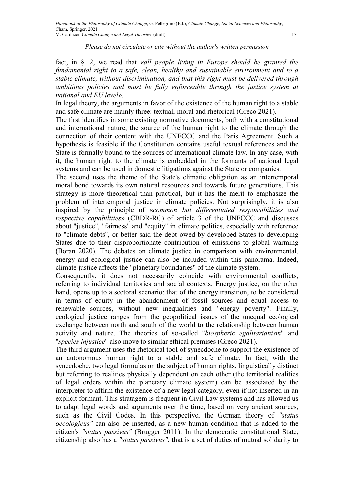fact, in §. 2, we read that «all people living in Europe should be granted the fundamental right to a safe, clean, healthy and sustainable environment and to a stable climate, without discrimination, and that this right must be delivered through ambitious policies and must be fully enforceable through the justice system at national and EU level».

In legal theory, the arguments in favor of the existence of the human right to a stable and safe climate are mainly three: textual, moral and rhetorical (Greco 2021).

The first identifies in some existing normative documents, both with a constitutional and international nature, the source of the human right to the climate through the connection of their content with the UNFCCC and the Paris Agreement. Such a hypothesis is feasible if the Constitution contains useful textual references and the State is formally bound to the sources of international climate law. In any case, with it, the human right to the climate is embedded in the formants of national legal systems and can be used in domestic litigations against the State or companies.

The second uses the theme of the State's climatic obligation as an intertemporal moral bond towards its own natural resources and towards future generations. This strategy is more theoretical than practical, but it has the merit to emphasize the problem of intertemporal justice in climate policies. Not surprisingly, it is also inspired by the principle of «common but differentiated responsibilities and respective capabilities» (CBDR-RC) of article 3 of the UNFCCC and discusses about "justice", "fairness" and "equity" in climate politics, especially with reference to "climate debts", or better said the debt owed by developed States to developing States due to their disproportionate contribution of emissions to global warming (Boran 2020). The debates on climate justice in comparison with environmental, energy and ecological justice can also be included within this panorama. Indeed, climate justice affects the "planetary boundaries" of the climate system.

Consequently, it does not necessarily coincide with environmental conflicts, referring to individual territories and social contexts. Energy justice, on the other hand, opens up to a sectoral scenario: that of the energy transition, to be considered in terms of equity in the abandonment of fossil sources and equal access to renewable sources, without new inequalities and "energy poverty". Finally, ecological justice ranges from the geopolitical issues of the unequal ecological exchange between north and south of the world to the relationship between human activity and nature. The theories of so-called "biospheric egalitarianism" and "species injustice" also move to similar ethical premises (Greco 2021).

The third argument uses the rhetorical tool of synecdoche to support the existence of an autonomous human right to a stable and safe climate. In fact, with the synecdoche, two legal formulas on the subject of human rights, linguistically distinct but referring to realities physically dependent on each other (the territorial realities of legal orders within the planetary climate system) can be associated by the interpreter to affirm the existence of a new legal category, even if not inserted in an explicit formant. This stratagem is frequent in Civil Law systems and has allowed us to adapt legal words and arguments over the time, based on very ancient sources, such as the Civil Codes. In this perspective, the German theory of "status oecologicus" can also be inserted, as a new human condition that is added to the citizen's "status passivus" (Brugger 2011). In the democratic constitutional State, citizenship also has a "status passivus", that is a set of duties of mutual solidarity to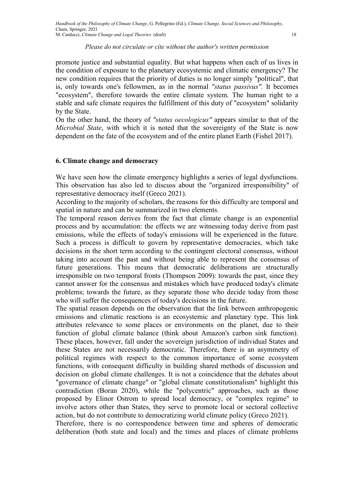promote justice and substantial equality. But what happens when each of us lives in the condition of exposure to the planetary ecosystemic and climatic emergency? The new condition requires that the priority of duties is no longer simply "political", that is, only towards one's fellowmen, as in the normal "status passivus". It becomes "ecosystem", therefore towards the entire climate system. The human right to a stable and safe climate requires the fulfillment of this duty of "ecosystem" solidarity by the State.

On the other hand, the theory of "status oecologicus" appears similar to that of the Microbial State, with which it is noted that the sovereignty of the State is now dependent on the fate of the ecosystem and of the entire planet Earth (Fishel 2017).

## 6. Climate change and democracy

We have seen how the climate emergency highlights a series of legal dysfunctions. This observation has also led to discuss about the "organized irresponsibility" of representative democracy itself (Greco 2021).

According to the majority of scholars, the reasons for this difficulty are temporal and spatial in nature and can be summarized in two elements.

The temporal reason derives from the fact that climate change is an exponential process and by accumulation: the effects we are witnessing today derive from past emissions, while the effects of today's emissions will be experienced in the future. Such a process is difficult to govern by representative democracies, which take decisions in the short term according to the contingent electoral consensus, without taking into account the past and without being able to represent the consensus of future generations. This means that democratic deliberations are structurally irresponsible on two temporal fronts (Thompson 2009): towards the past, since they cannot answer for the consensus and mistakes which have produced today's climate problems; towards the future, as they separate those who decide today from those who will suffer the consequences of today's decisions in the future.

The spatial reason depends on the observation that the link between anthropogenic emissions and climatic reactions is an ecosystemic and planetary type. This link attributes relevance to some places or environments on the planet, due to their function of global climate balance (think about Amazon's carbon sink function). These places, however, fall under the sovereign jurisdiction of individual States and these States are not necessarily democratic. Therefore, there is an asymmetry of political regimes with respect to the common importance of some ecosystem functions, with consequent difficulty in building shared methods of discussion and decision on global climate challenges. It is not a coincidence that the debates about "governance of climate change" or "global climate constitutionalism" highlight this contradiction (Boran 2020), while the "polycentric" approaches, such as those proposed by Elinor Ostrom to spread local democracy, or "complex regime" to involve actors other than States, they serve to promote local or sectoral collective action, but do not contribute to democratizing world climate policy (Greco 2021).

Therefore, there is no correspondence between time and spheres of democratic deliberation (both state and local) and the times and places of climate problems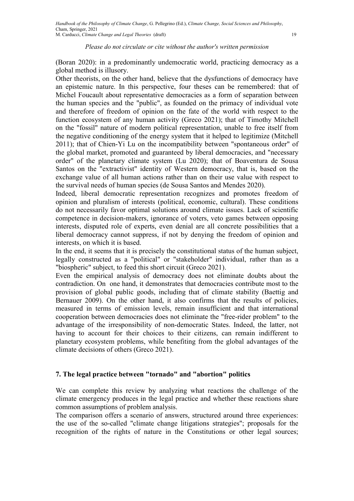(Boran 2020): in a predominantly undemocratic world, practicing democracy as a global method is illusory.

Other theorists, on the other hand, believe that the dysfunctions of democracy have an epistemic nature. In this perspective, four theses can be remembered: that of Michel Foucault about representative democracies as a form of separation between the human species and the "public", as founded on the primacy of individual vote and therefore of freedom of opinion on the fate of the world with respect to the function ecosystem of any human activity (Greco 2021); that of Timothy Mitchell on the "fossil" nature of modern political representation, unable to free itself from the negative conditioning of the energy system that it helped to legitimize (Mitchell 2011); that of Chien-Yi Lu on the incompatibility between "spontaneous order" of the global market, promoted and guaranteed by liberal democracies, and "necessary order" of the planetary climate system (Lu 2020); that of Boaventura de Sousa Santos on the "extractivist" identity of Western democracy, that is, based on the exchange value of all human actions rather than on their use value with respect to the survival needs of human species (de Sousa Santos and Mendes 2020).

Indeed, liberal democratic representation recognizes and promotes freedom of opinion and pluralism of interests (political, economic, cultural). These conditions do not necessarily favor optimal solutions around climate issues. Lack of scientific competence in decision-makers, ignorance of voters, veto games between opposing interests, disputed role of experts, even denial are all concrete possibilities that a liberal democracy cannot suppress, if not by denying the freedom of opinion and interests, on which it is based.

In the end, it seems that it is precisely the constitutional status of the human subject, legally constructed as a "political" or "stakeholder" individual, rather than as a "biospheric" subject, to feed this short circuit (Greco 2021).

Even the empirical analysis of democracy does not eliminate doubts about the contradiction. On one hand, it demonstrates that democracies contribute most to the provision of global public goods, including that of climate stability (Baettig and Bernauer 2009). On the other hand, it also confirms that the results of policies, measured in terms of emission levels, remain insufficient and that international cooperation between democracies does not eliminate the "free-rider problem" to the advantage of the irresponsibility of non-democratic States. Indeed, the latter, not having to account for their choices to their citizens, can remain indifferent to planetary ecosystem problems, while benefiting from the global advantages of the climate decisions of others (Greco 2021).

#### 7. The legal practice between "tornado" and "abortion" politics

We can complete this review by analyzing what reactions the challenge of the climate emergency produces in the legal practice and whether these reactions share common assumptions of problem analysis.

The comparison offers a scenario of answers, structured around three experiences: the use of the so-called "climate change litigations strategies"; proposals for the recognition of the rights of nature in the Constitutions or other legal sources;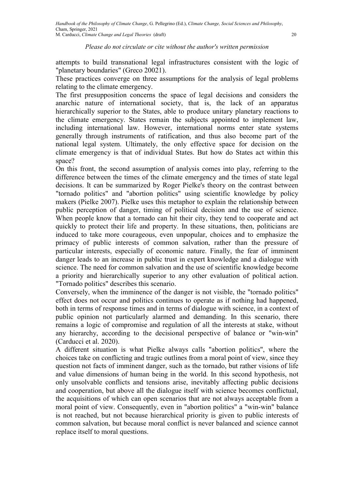attempts to build transnational legal infrastructures consistent with the logic of "planetary boundaries" (Greco 20021).

These practices converge on three assumptions for the analysis of legal problems relating to the climate emergency.

The first presupposition concerns the space of legal decisions and considers the anarchic nature of international society, that is, the lack of an apparatus hierarchically superior to the States, able to produce unitary planetary reactions to the climate emergency. States remain the subjects appointed to implement law, including international law. However, international norms enter state systems generally through instruments of ratification, and thus also become part of the national legal system. Ultimately, the only effective space for decision on the climate emergency is that of individual States. But how do States act within this space?

On this front, the second assumption of analysis comes into play, referring to the difference between the times of the climate emergency and the times of state legal decisions. It can be summarized by Roger Pielke's theory on the contrast between "tornado politics" and "abortion politics" using scientific knowledge by policy makers (Pielke 2007). Pielke uses this metaphor to explain the relationship between public perception of danger, timing of political decision and the use of science. When people know that a tornado can hit their city, they tend to cooperate and act quickly to protect their life and property. In these situations, then, politicians are induced to take more courageous, even unpopular, choices and to emphasize the primacy of public interests of common salvation, rather than the pressure of particular interests, especially of economic nature. Finally, the fear of imminent danger leads to an increase in public trust in expert knowledge and a dialogue with science. The need for common salvation and the use of scientific knowledge become a priority and hierarchically superior to any other evaluation of political action. "Tornado politics" describes this scenario.

Conversely, when the imminence of the danger is not visible, the "tornado politics" effect does not occur and politics continues to operate as if nothing had happened, both in terms of response times and in terms of dialogue with science, in a context of public opinion not particularly alarmed and demanding. In this scenario, there remains a logic of compromise and regulation of all the interests at stake, without any hierarchy, according to the decisional perspective of balance or "win-win" (Carducci et al. 2020).

A different situation is what Pielke always calls "abortion politics", where the choices take on conflicting and tragic outlines from a moral point of view, since they question not facts of imminent danger, such as the tornado, but rather visions of life and value dimensions of human being in the world. In this second hypothesis, not only unsolvable conflicts and tensions arise, inevitably affecting public decisions and cooperation, but above all the dialogue itself with science becomes conflictual, the acquisitions of which can open scenarios that are not always acceptable from a moral point of view. Consequently, even in "abortion politics" a "win-win" balance is not reached, but not because hierarchical priority is given to public interests of common salvation, but because moral conflict is never balanced and science cannot replace itself to moral questions.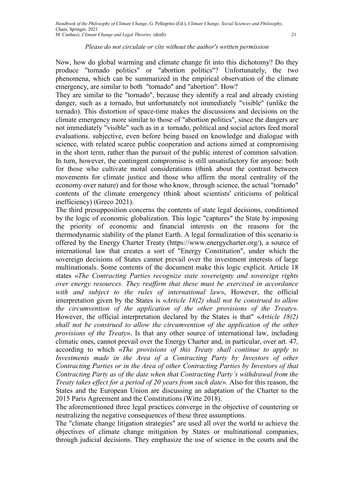Now, how do global warming and climate change fit into this dichotomy? Do they produce "tornado politics" or "abortion politics"? Unfortunately, the two phenomena, which can be summarized in the empirical observation of the climate emergency, are similar to both "tornado" and "abortion". How?

They are similar to the "tornado", because they identify a real and already existing danger, such as a tornado, but unfortunately not immediately "visible" (unlike the tornado). This distortion of space-time makes the discussions and decisions on the climate emergency more similar to those of "abortion politics", since the dangers are not immediately "visible" such as in a tornado, political and social actors feed moral evaluations. subjective, even before being based on knowledge and dialogue with science, with related scarce public cooperation and actions aimed at compromising in the short term, rather than the pursuit of the public interest of common salvation. In turn, however, the contingent compromise is still unsatisfactory for anyone: both for those who cultivate moral considerations (think about the contrast between movements for climate justice and those who affirm the moral centrality of the economy over nature) and for those who know, through science, the actual "tornado" contents of the climate emergency (think about scientists' criticisms of political inefficiency) (Greco 2021).

The third presupposition concerns the contents of state legal decisions, conditioned by the logic of economic globalization. This logic "captures" the State by imposing the priority of economic and financial interests on the reasons for the thermodynamic stability of the planet Earth. A legal formalization of this scenario is offered by the Energy Charter Treaty (https://www.energycharter.org/), a source of international law that creates a sort of "Energy Constitution", under which the sovereign decisions of States cannot prevail over the investment interests of large multinationals. Some contents of the document make this logic explicit. Article 18 states «The Contracting Parties recognize state sovereignty and sovereign rights over energy resources. They reaffirm that these must be exercised in accordance with and subject to the rules of international law», However, the official interpretation given by the States is «Article 18(2) shall not be construed to allow the circumvention of the application of the other provisions of the Treaty». However, the official interpretation declared by the States is that" «Article 18(2) shall not be construed to allow the circumvention of the application of the other provisions of the Treaty». Is that any other source of international law, including climatic ones, cannot prevail over the Energy Charter and, in particular, over art. 47, according to which «The provisions of this Treaty shall continue to apply to Investments made in the Area of a Contracting Party by Investors of other Contracting Parties or in the Area of other Contracting Parties by Investors of that Contracting Party as of the date when that Contracting Party's withdrawal from the Treaty takes effect for a period of 20 years from such date». Also for this reason, the States and the European Union are discussing an adaptation of the Charter to the 2015 Paris Agreement and the Constitutions (Witte 2018).

The aforementioned three legal practices converge in the objective of countering or neutralizing the negative consequences of these three assumptions.

The "climate change litigation strategies" are used all over the world to achieve the objectives of climate change mitigation by States or multinational companies, through judicial decisions. They emphasize the use of science in the courts and the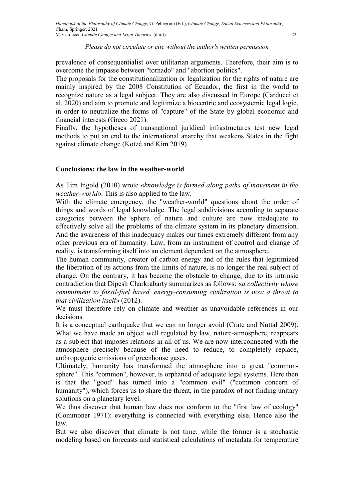prevalence of consequentialist over utilitarian arguments. Therefore, their aim is to overcome the impasse between "tornado" and "abortion politics".

The proposals for the constitutionalization or legalization for the rights of nature are mainly inspired by the 2008 Constitution of Ecuador, the first in the world to recognize nature as a legal subject. They are also discussed in Europe (Carducci et al. 2020) and aim to promote and legitimize a biocentric and ecosystemic legal logic, in order to neutralize the forms of "capture" of the State by global economic and financial interests (Greco 2021).

Finally, the hypotheses of transnational juridical infrastructures test new legal methods to put an end to the international anarchy that weakens States in the fight against climate change (Kotzé and Kim 2019).

#### Conclusions: the law in the weather-world

As Tim Ingold (2010) wrote «knowledge is formed along paths of movement in the weather-world». This is also applied to the law.

With the climate emergency, the "weather-world" questions about the order of things and words of legal knowledge. The legal subdivisions according to separate categories between the sphere of nature and culture are now inadequate to effectively solve all the problems of the climate system in its planetary dimension. And the awareness of this inadequacy makes our times extremely different from any other previous era of humanity. Law, from an instrument of control and change of reality, is transforming itself into an element dependent on the atmosphere.

The human community, creator of carbon energy and of the rules that legitimized the liberation of its actions from the limits of nature, is no longer the real subject of change. On the contrary, it has become the obstacle to change, due to its intrinsic contradiction that Dipesh Charkrabarty summarizes as follows: «a collectivity whose commitment to fossil-fuel based, energy-consuming civilization is now a threat to that civilization itself» (2012).

We must therefore rely on climate and weather as unavoidable references in our decisions.

It is a conceptual earthquake that we can no longer avoid (Crate and Nuttal 2009). What we have made an object well regulated by law, nature-atmosphere, reappears as a subject that imposes relations in all of us. We are now interconnected with the atmosphere precisely because of the need to reduce, to completely replace, anthropogenic emissions of greenhouse gases.

Ultimately, humanity has transformed the atmosphere into a great "commonsphere". This "common", however, is orphaned of adequate legal systems. Here then is that the "good" has turned into a "common evil" ("common concern of humanity"), which forces us to share the threat, in the paradox of not finding unitary solutions on a planetary level.

We thus discover that human law does not conform to the "first law of ecology" (Commoner 1971): everything is connected with everything else. Hence also the law.

But we also discover that climate is not time: while the former is a stochastic modeling based on forecasts and statistical calculations of metadata for temperature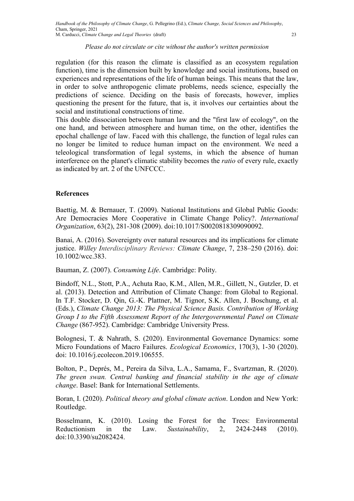regulation (for this reason the climate is classified as an ecosystem regulation function), time is the dimension built by knowledge and social institutions, based on experiences and representations of the life of human beings. This means that the law, in order to solve anthropogenic climate problems, needs science, especially the predictions of science. Deciding on the basis of forecasts, however, implies questioning the present for the future, that is, it involves our certainties about the social and institutional constructions of time.

This double dissociation between human law and the "first law of ecology", on the one hand, and between atmosphere and human time, on the other, identifies the epochal challenge of law. Faced with this challenge, the function of legal rules can no longer be limited to reduce human impact on the environment. We need a teleological transformation of legal systems, in which the absence of human interference on the planet's climatic stability becomes the ratio of every rule, exactly as indicated by art. 2 of the UNFCCC.

#### **References**

Baettig, M. & Bernauer, T. (2009). National Institutions and Global Public Goods: Are Democracies More Cooperative in Climate Change Policy?. International Organization, 63(2), 281-308 (2009). doi:10.1017/S0020818309090092.

Banai, A. (2016). Sovereignty over natural resources and its implications for climate justice. Willey Interdisciplinary Reviews: Climate Change, 7, 238–250 (2016). doi: 10.1002/wcc.383.

Bauman, Z. (2007). Consuming Life. Cambridge: Polity.

Bindoff, N.L., Stott, P.A., Achuta Rao, K.M., Allen, M.R., Gillett, N., Gutzler, D. et al. (2013). Detection and Attribution of Climate Change: from Global to Regional. In T.F. Stocker, D. Qin, G.-K. Plattner, M. Tignor, S.K. Allen, J. Boschung, et al. (Eds.), Climate Change 2013: The Physical Science Basis. Contribution of Working Group I to the Fifth Assessment Report of the Intergovernmental Panel on Climate Change (867-952). Cambridge: Cambridge University Press.

Bolognesi, T. & Nahrath, S. (2020). Environmental Governance Dynamics: some Micro Foundations of Macro Failures. Ecological Economics, 170(3), 1-30 (2020). doi: 10.1016/j.ecolecon.2019.106555.

Bolton, P., Deprés, M., Pereira da Silva, L.A., Samama, F., Svartzman, R. (2020). The green swan. Central banking and financial stability in the age of climate change. Basel: Bank for International Settlements.

Boran, I. (2020). Political theory and global climate action. London and New York: Routledge.

Bosselmann, K. (2010). Losing the Forest for the Trees: Environmental Reductionism in the Law. Sustainability, 2, 2424-2448 (2010). doi:10.3390/su2082424.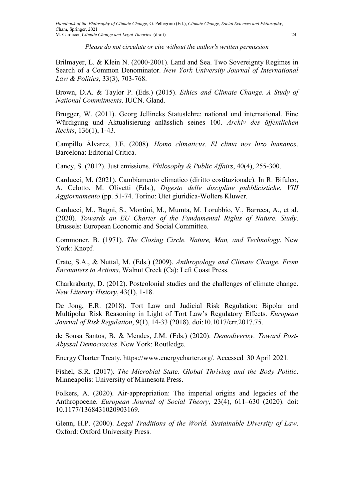Brilmayer, L. & Klein N. (2000-2001). Land and Sea. Two Sovereignty Regimes in Search of a Common Denominator. New York University Journal of International Law & Politics, 33(3), 703-768.

Brown, D.A. & Taylor P. (Eds.) (2015). Ethics and Climate Change. A Study of National Commitments. IUCN. Gland.

Brugger, W. (2011). Georg Jellineks Statuslehre: national und international. Eine Würdigung und Aktualisierung anlässlich seines 100. Archiv des öffentlichen Rechts, 136(1), 1-43.

Campillo Álvarez, J.E. (2008). Homo climaticus. El clima nos hizo humanos. Barcelona: Editorial Crítica.

Caney, S. (2012). Just emissions. Philosophy & Public Affairs, 40(4), 255-300.

Carducci, M. (2021). Cambiamento climatico (diritto costituzionale). In R. Bifulco, A. Celotto, M. Olivetti (Eds.), Digesto delle discipline pubblicistiche. VIII Aggiornamento (pp. 51-74. Torino: Utet giuridica-Wolters Kluwer.

Carducci, M., Bagni, S., Montini, M., Mumta, M. Lorubbio, V., Barreca, A., et al. (2020). Towards an EU Charter of the Fundamental Rights of Nature. Study. Brussels: European Economic and Social Committee.

Commoner, B. (1971). The Closing Circle. Nature, Man, and Technology. New York: Knopf.

Crate, S.A., & Nuttal, M. (Eds.) (2009). Anthropology and Climate Change. From Encounters to Actions, Walnut Creek (Ca): Left Coast Press.

Charkrabarty, D. (2012). Postcolonial studies and the challenges of climate change. New Literary History, 43(1), 1-18.

De Jong, E.R. (2018). Tort Law and Judicial Risk Regulation: Bipolar and Multipolar Risk Reasoning in Light of Tort Law's Regulatory Effects. European Journal of Risk Regulation, 9(1), 14-33 (2018). doi:10.1017/err.2017.75.

de Sousa Santos, B. & Mendes, J.M. (Eds.) (2020). Demodiverisy. Toward Post-Abyssal Democracies. New York: Routledge.

Energy Charter Treaty. https://www.energycharter.org/. Accessed 30 April 2021.

Fishel, S.R. (2017). The Microbial State. Global Thriving and the Body Politic. Minneapolis: University of Minnesota Press.

Folkers, A. (2020). Air-appropriation: The imperial origins and legacies of the Anthropocene. European Journal of Social Theory, 23(4), 611–630 (2020). doi: 10.1177/1368431020903169.

Glenn, H.P. (2000). Legal Traditions of the World. Sustainable Diversity of Law. Oxford: Oxford University Press.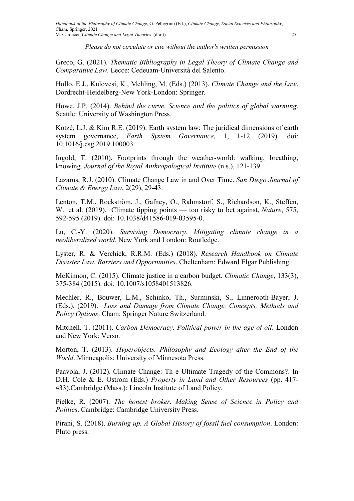Greco, G. (2021). Thematic Bibliography in Legal Theory of Climate Change and Comparative Law. Lecce: Cedeuam-Università del Salento.

Hollo, E.J., Kulovesi, K., Mehling, M. (Eds.) (2013). Climate Change and the Law. Dordrecht-Heidelberg-New York-London: Springer.

Howe, J.P. (2014). Behind the curve. Science and the politics of global warming. Seattle: University of Washington Press.

Kotzé, L.J. & Kim R.E. (2019). Earth system law: The juridical dimensions of earth system governance, *Earth System Governance*, 1, 1-12 (2019). doi: 10.1016/j.esg.2019.100003.

Ingold, T. (2010). Footprints through the weather-world: walking, breathing, knowing. Journal of the Royal Anthropological Institute (n.s.), 121-139.

Lazarus, R.J. (2010). Climate Change Law in and Over Time. San Diego Journal of Climate & Energy Law, 2(29), 29-43.

Lenton, T.M., Rockström, J., Gafney, O., Rahmstorf, S., Richardson, K., Steffen, W.. et al. (2019). Climate tipping points — too risky to bet against, *Nature*, 575, 592-595 (2019). doi: 10.1038/d41586-019-03595-0.

Lu, C.-Y. (2020). Surviving Democracy. Mitigating climate change in a neoliberalized world. New York and London: Routledge.

Lyster, R. & Verchick, R.R.M. (Eds.) (2018). Research Handbook on Climate Disaster Law. Barriers and Opportunities. Cheltenham: Edward Elgar Publishing.

McKinnon, C. (2015). Climate justice in a carbon budget. Climatic Change, 133(3), 375-384 (2015). doi: 10.1007/s1058401513826.

Mechler, R., Bouwer, L.M., Schinko, Th., Surminski, S., Linnerooth-Bayer, J. (Eds.). (2019). Loss and Damage from Climate Change. Concepts, Methods and Policy Options. Cham: Springer Nature Switzerland.

Mitchell. T. (2011). Carbon Democracy. Political power in the age of oil. London and New York: Verso.

Morton, T. (2013). Hyperobjects. Philosophy and Ecology after the End of the World. Minneapolis: University of Minnesota Press.

Paavola, J. (2012). Climate Change: Th e Ultimate Tragedy of the Commons?. In D.H. Cole & E. Ostrom (Eds.) *Property in Land and Other Resources* (pp. 417-433).Cambridge (Mass.): Lincoln Institute of Land Policy.

Pielke, R. (2007). The honest broker. Making Sense of Science in Policy and Politics. Cambridge: Cambridge University Press.

Pirani, S. (2018). Burning up. A Global History of fossil fuel consumption. London: Pluto press.